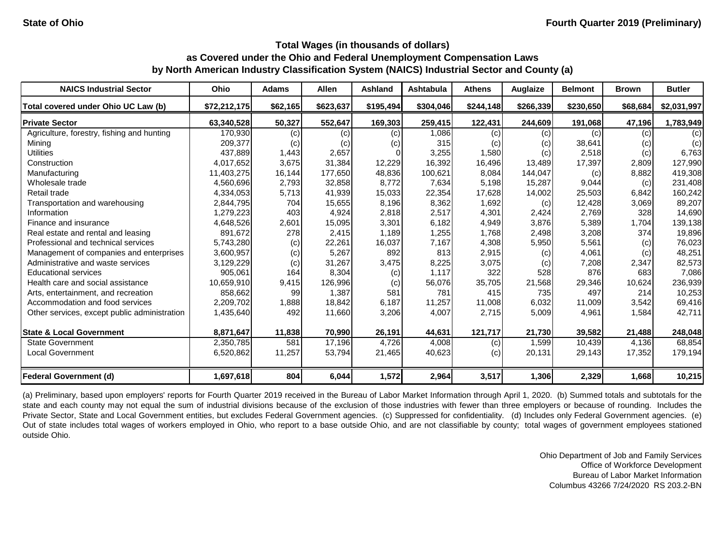| \$72,212,175<br>63,340,528<br>170,930 | \$62,165<br>50,327                             | \$623,637<br>552,647                      | \$195,494                 | \$304,046                                    | \$244,148                | \$266,339               | \$230,650       | \$68,684                           |                 |
|---------------------------------------|------------------------------------------------|-------------------------------------------|---------------------------|----------------------------------------------|--------------------------|-------------------------|-----------------|------------------------------------|-----------------|
|                                       |                                                |                                           |                           |                                              |                          |                         |                 |                                    | \$2,031,997     |
|                                       |                                                |                                           | 169,303                   | 259,415                                      | 122,431                  | 244,609                 | 191,068         | 47,196                             | 1,783,949       |
|                                       |                                                | (c)                                       | (c)                       | 1,086                                        | (c)                      | (c)                     | (c)             | (c)                                | (c)             |
|                                       | (c)                                            | (c)                                       | (c)                       | 315                                          | (c)                      | (c)                     | 38,641          | (c)                                | (c)             |
| 437,889                               | 1,443                                          | 2,657                                     |                           | 3,255                                        | 1,580                    | (c)                     | 2,518           | (c)                                | 6,763           |
| 4,017,652                             | 3,675                                          | 31,384                                    | 12,229                    | 16,392                                       | 16,496                   | 13,489                  | 17,397          | 2,809                              | 127,990         |
| 11,403,275                            | 16,144                                         | 177,650                                   |                           | 100,621                                      | 8,084                    | 144,047                 | (c)             | 8,882                              | 419,308         |
| 4,560,696                             | 2,793                                          | 32,858                                    | 8,772                     | 7,634                                        | 5,198                    | 15,287                  | 9,044           | (c)                                | 231,408         |
| 4,334,053                             | 5,713                                          | 41,939                                    |                           | 22,354                                       | 17,628                   | 14,002                  | 25,503          | 6,842                              | 160,242         |
| 2,844,795                             | 704                                            | 15,655                                    | 8,196                     | 8,362                                        | 1,692                    | (c)                     | 12,428          | 3,069                              | 89,207          |
| 1,279,223                             | 403                                            | 4,924                                     |                           | 2,517                                        | 4,301                    | 2,424                   | 2,769           | 328                                | 14,690          |
| 4,648,526                             | 2,601                                          | 15,095                                    | 3,301                     | 6,182                                        | 4,949                    | 3,876                   | 5,389           | 1,704                              | 139,138         |
| 891,672                               | 278                                            | 2,415                                     | 1,189                     | 1,255                                        | 1,768                    | 2,498                   | 3,208           | 374                                | 19,896          |
| 5,743,280                             |                                                | 22,261                                    | 16,037                    | 7,167                                        | 4,308                    | 5,950                   | 5,561           | (c)                                | 76,023          |
| 3,600,957                             |                                                | 5,267                                     | 892                       | 813                                          | 2,915                    | (c)                     | 4,061           | (c)                                | 48,251          |
| 3,129,229                             |                                                | 31,267                                    | 3,475                     | 8,225                                        | 3,075                    | (c)                     | 7,208           | 2,347                              | 82,573          |
| 905,061                               | 164                                            | 8,304                                     | (c)                       | 1,117                                        | 322                      | 528                     | 876             | 683                                | 7,086           |
| 10,659,910                            | 9,415                                          | 126,996                                   | (c)                       | 56,076                                       | 35,705                   | 21,568                  | 29,346          | 10,624                             | 236,939         |
| 858,662                               | 99                                             | 1,387                                     | 581                       | 781                                          | 415                      | 735                     | 497             | 214                                | 10,253          |
| 2,209,702                             | 1,888                                          | 18,842                                    | 6,187                     | 11,257                                       | 11,008                   | 6,032                   | 11,009          | 3,542                              | 69,416          |
| 1,435,640                             | 492                                            | 11,660                                    | 3,206                     | 4,007                                        | 2,715                    | 5,009                   | 4,961           | 1,584                              | 42,711          |
|                                       |                                                |                                           |                           |                                              |                          |                         |                 |                                    | 248,048         |
|                                       | 581                                            |                                           | 4,726                     |                                              |                          |                         |                 | 4,136                              | 68,854          |
| 6,520,862                             | 11,257                                         | 53,794                                    | 21,465                    | 40,623                                       | (c)                      | 20,131                  | 29,143          | 17,352                             | 179,194         |
|                                       |                                                |                                           |                           |                                              |                          |                         |                 |                                    | 10,215          |
|                                       | 209,377<br>8,871,647<br>2,350,785<br>1,697,618 | (c)<br>(c)<br>(c)<br>(c)<br>11,838<br>804 | 70,990<br>17,196<br>6,044 | 48,836<br>15,033<br>2,818<br>26,191<br>1,572 | 44,631<br>4,008<br>2,964 | 121,717<br>(c)<br>3,517 | 21,730<br>1,599 | 39,582<br>10,439<br>1,306<br>2,329 | 21,488<br>1,668 |

(a) Preliminary, based upon employers' reports for Fourth Quarter 2019 received in the Bureau of Labor Market Information through April 1, 2020. (b) Summed totals and subtotals for the state and each county may not equal the sum of industrial divisions because of the exclusion of those industries with fewer than three employers or because of rounding. Includes the Private Sector, State and Local Government entities, but excludes Federal Government agencies. (c) Suppressed for confidentiality. (d) Includes only Federal Government agencies. (e) Out of state includes total wages of workers employed in Ohio, who report to a base outside Ohio, and are not classifiable by county; total wages of government employees stationed outside Ohio.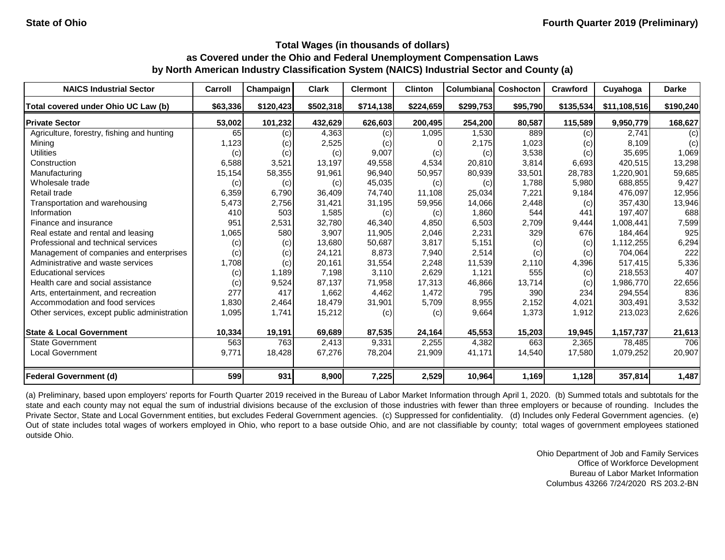| <b>NAICS Industrial Sector</b>               | Carroll  | Champaign | <b>Clark</b> | <b>Clermont</b> | <b>Clinton</b> | Columbiana | Coshocton | <b>Crawford</b> | Cuyahoga     | <b>Darke</b> |
|----------------------------------------------|----------|-----------|--------------|-----------------|----------------|------------|-----------|-----------------|--------------|--------------|
| Total covered under Ohio UC Law (b)          | \$63,336 | \$120,423 | \$502,318    | \$714,138       | \$224,659      | \$299,753  | \$95,790  | \$135,534       | \$11,108,516 | \$190,240    |
| <b>Private Sector</b>                        | 53,002   | 101,232   | 432,629      | 626,603         | 200,495        | 254,200    | 80,587    | 115,589         | 9,950,779    | 168,627      |
| Agriculture, forestry, fishing and hunting   | 65       | (c)       | 4,363        | (c)             | 1,095          | 1,530      | 889       | (c)             | 2,741        | (c)          |
| Mining                                       | 1,123    | (c)       | 2,525        | (c)             |                | 2,175      | 1,023     | (c)             | 8,109        | (c)          |
| <b>Utilities</b>                             | (c)      | (c)       | (c)          | 9,007           | (c)            | (c)        | 3,538     | (c)             | 35,695       | 1,069        |
| Construction                                 | 6,588    | 3,521     | 13,197       | 49,558          | 4,534          | 20,810     | 3,814     | 6,693           | 420,515      | 13,298       |
| Manufacturing                                | 15,154   | 58,355    | 91,961       | 96,940          | 50,957         | 80,939     | 33,501    | 28,783          | 1,220,901    | 59,685       |
| Wholesale trade                              | (c)      | (c)       | (c)          | 45,035          | (c)            | (c)        | 1,788     | 5,980           | 688,855      | 9,427        |
| Retail trade                                 | 6,359    | 6,790     | 36,409       | 74,740          | 11,108         | 25,034     | 7,221     | 9,184           | 476,097      | 12,956       |
| Transportation and warehousing               | 5,473    | 2,756     | 31,421       | 31,195          | 59,956         | 14,066     | 2,448     | (c)             | 357,430      | 13,946       |
| Information                                  | 410      | 503       | 1,585        | (c)             | (c)            | 1,860      | 544       | 441             | 197,407      | 688          |
| Finance and insurance                        | 951      | 2,531     | 32,780       | 46,340          | 4,850          | 6,503      | 2,709     | 9,444           | 1,008,441    | 7,599        |
| Real estate and rental and leasing           | 1,065    | 580       | 3,907        | 11,905          | 2,046          | 2,231      | 329       | 676             | 184,464      | 925          |
| Professional and technical services          | (c)      | (c)       | 13,680       | 50,687          | 3,817          | 5,151      | (c)       | (c)             | 1,112,255    | 6,294        |
| Management of companies and enterprises      | (c)      | (c)       | 24,121       | 8,873           | 7,940          | 2,514      | (c)       | (c)             | 704,064      | 222          |
| Administrative and waste services            | 1,708    | (c)       | 20,161       | 31,554          | 2,248          | 11,539     | 2,110     | 4,396           | 517,415      | 5,336        |
| <b>Educational services</b>                  | (c)      | 1,189     | 7,198        | 3,110           | 2,629          | 1,121      | 555       | (c)             | 218,553      | 407          |
| Health care and social assistance            | (c)      | 9,524     | 87,137       | 71,958          | 17,313         | 46,866     | 13,714    | (c)             | 1,986,770    | 22,656       |
| Arts, entertainment, and recreation          | 277      | 417       | 1,662        | 4,462           | 1,472          | 795        | 390       | 234             | 294,554      | 836          |
| Accommodation and food services              | 1,830    | 2,464     | 18,479       | 31,901          | 5,709          | 8,955      | 2,152     | 4,021           | 303,491      | 3,532        |
| Other services, except public administration | 1,095    | 1,741     | 15,212       | (c)             | (c)            | 9,664      | 1,373     | 1,912           | 213,023      | 2,626        |
| <b>State &amp; Local Government</b>          | 10,334   | 19,191    | 69,689       | 87,535          | 24,164         | 45,553     | 15,203    | 19,945          | 1,157,737    | 21,613       |
| <b>State Government</b>                      | 563      | 763       | 2,413        | 9,331           | 2,255          | 4,382      | 663       | 2,365           | 78,485       | 706          |
| <b>Local Government</b>                      | 9,771    | 18,428    | 67,276       | 78,204          | 21,909         | 41,171     | 14,540    | 17,580          | 1,079,252    | 20,907       |
| <b>Federal Government (d)</b>                | 599      | 931       | 8,900        | 7,225           | 2,529          | 10,964     | 1,169     | 1,128           | 357,814      | 1,487        |

(a) Preliminary, based upon employers' reports for Fourth Quarter 2019 received in the Bureau of Labor Market Information through April 1, 2020. (b) Summed totals and subtotals for the state and each county may not equal the sum of industrial divisions because of the exclusion of those industries with fewer than three employers or because of rounding. Includes the Private Sector, State and Local Government entities, but excludes Federal Government agencies. (c) Suppressed for confidentiality. (d) Includes only Federal Government agencies. (e) Out of state includes total wages of workers employed in Ohio, who report to a base outside Ohio, and are not classifiable by county; total wages of government employees stationed outside Ohio.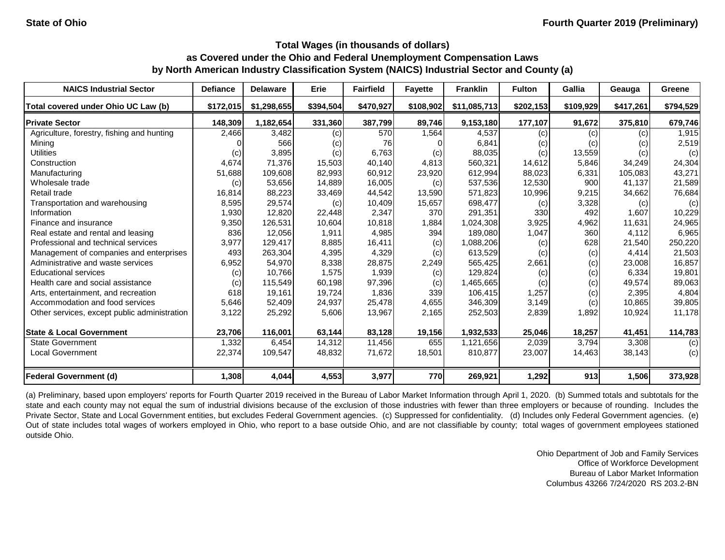| <b>NAICS Industrial Sector</b>               | <b>Defiance</b> | <b>Delaware</b> | Erie      | <b>Fairfield</b> | <b>Fayette</b> | <b>Franklin</b> | <b>Fulton</b> | Gallia    | Geauga    | Greene    |
|----------------------------------------------|-----------------|-----------------|-----------|------------------|----------------|-----------------|---------------|-----------|-----------|-----------|
| Total covered under Ohio UC Law (b)          | \$172,015       | \$1,298,655     | \$394,504 | \$470,927        | \$108,902      | \$11,085,713    | \$202,153     | \$109,929 | \$417,261 | \$794,529 |
| <b>Private Sector</b>                        | 148,309         | 1,182,654       | 331,360   | 387,799          | 89,746         | 9,153,180       | 177,107       | 91,672    | 375,810   | 679,746   |
| Agriculture, forestry, fishing and hunting   | 2,466           | 3,482           | (c)       | 570              | 1,564          | 4,537           | (c)           | (c)       | (c)       | 1,915     |
| Mining                                       |                 | 566             | (c)       | 76               |                | 6,841           | (c)           | (c)       | (c)       | 2,519     |
| <b>Utilities</b>                             | (c)             | 3,895           | (c)       | 6,763            | (c)            | 88,035          | (c)           | 13,559    | (c)       | (c)       |
| Construction                                 | 4,674           | 71,376          | 15,503    | 40,140           | 4,813          | 560,321         | 14,612        | 5,846     | 34,249    | 24,304    |
| Manufacturing                                | 51,688          | 109,608         | 82,993    | 60,912           | 23,920         | 612,994         | 88,023        | 6,331     | 105,083   | 43,271    |
| Wholesale trade                              | (c)             | 53,656          | 14,889    | 16,005           | (c)            | 537,536         | 12,530        | 900       | 41,137    | 21,589    |
| Retail trade                                 | 16,814          | 88,223          | 33,469    | 44,542           | 13,590         | 571,823         | 10,996        | 9,215     | 34,662    | 76,684    |
| Transportation and warehousing               | 8,595           | 29,574          | (c)       | 10,409           | 15,657         | 698,477         | (c)           | 3,328     | (c)       | (c)       |
| Information                                  | 1,930           | 12,820          | 22,448    | 2,347            | 370            | 291,351         | 330           | 492       | 1,607     | 10,229    |
| Finance and insurance                        | 9,350           | 126,531         | 10,604    | 10,818           | 1,884          | 1,024,308       | 3,925         | 4,962     | 11,631    | 24,965    |
| Real estate and rental and leasing           | 836             | 12,056          | 1,911     | 4,985            | 394            | 189,080         | 1,047         | 360       | 4,112     | 6,965     |
| Professional and technical services          | 3,977           | 129,417         | 8,885     | 16,411           | (c)            | 1,088,206       | (c)           | 628       | 21,540    | 250,220   |
| Management of companies and enterprises      | 493             | 263,304         | 4,395     | 4,329            | (c)            | 613,529         | (c)           | (c)       | 4,414     | 21,503    |
| Administrative and waste services            | 6,952           | 54,970          | 8,338     | 28,875           | 2,249          | 565,425         | 2,661         | (c)       | 23,008    | 16,857    |
| <b>Educational services</b>                  | (c)             | 10,766          | 1,575     | 1,939            | (c)            | 129,824         | (c)           | (c)       | 6,334     | 19,801    |
| Health care and social assistance            | (c)             | 115,549         | 60,198    | 97,396           | (c)            | 1,465,665       | (c)           | (c)       | 49,574    | 89,063    |
| Arts, entertainment, and recreation          | 618             | 19,161          | 19,724    | 1,836            | 339            | 106,415         | 1,257         | (c)       | 2,395     | 4,804     |
| Accommodation and food services              | 5,646           | 52,409          | 24,937    | 25,478           | 4,655          | 346,309         | 3,149         | (c)       | 10,865    | 39,805    |
| Other services, except public administration | 3,122           | 25,292          | 5,606     | 13,967           | 2,165          | 252,503         | 2,839         | 1,892     | 10,924    | 11,178    |
| <b>State &amp; Local Government</b>          | 23,706          | 116,001         | 63,144    | 83,128           | 19,156         | 1,932,533       | 25,046        | 18,257    | 41,451    | 114,783   |
| <b>State Government</b>                      | 1,332           | 6,454           | 14,312    | 11,456           | 655            | 1,121,656       | 2,039         | 3,794     | 3,308     | (c)       |
| <b>Local Government</b>                      | 22,374          | 109,547         | 48,832    | 71,672           | 18,501         | 810,877         | 23,007        | 14,463    | 38,143    | (c)       |
| <b>Federal Government (d)</b>                | 1,308           | 4,044           | 4,553     | 3,977            | 770            | 269,921         | 1,292         | 913       | 1,506     | 373,928   |

(a) Preliminary, based upon employers' reports for Fourth Quarter 2019 received in the Bureau of Labor Market Information through April 1, 2020. (b) Summed totals and subtotals for the state and each county may not equal the sum of industrial divisions because of the exclusion of those industries with fewer than three employers or because of rounding. Includes the Private Sector, State and Local Government entities, but excludes Federal Government agencies. (c) Suppressed for confidentiality. (d) Includes only Federal Government agencies. (e) Out of state includes total wages of workers employed in Ohio, who report to a base outside Ohio, and are not classifiable by county; total wages of government employees stationed outside Ohio.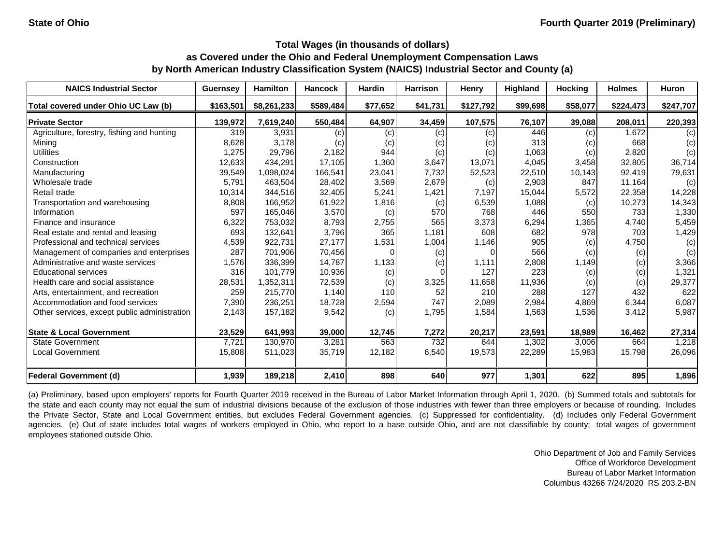| <b>NAICS Industrial Sector</b>               | <b>Guernsey</b> | <b>Hamilton</b> | <b>Hancock</b> | Hardin   | <b>Harrison</b> | Henry             | Highland | <b>Hocking</b> | <b>Holmes</b> | <b>Huron</b> |
|----------------------------------------------|-----------------|-----------------|----------------|----------|-----------------|-------------------|----------|----------------|---------------|--------------|
| Total covered under Ohio UC Law (b)          | \$163,501       | \$8,261,233     | \$589,484      | \$77,652 | \$41,731        | \$127,792         | \$99,698 | \$58,077       | \$224,473     | \$247,707    |
| <b>Private Sector</b>                        | 139,972         | 7,619,240       | 550,484        | 64,907   | 34,459          | 107,575           | 76,107   | 39,088         | 208,011       | 220,393      |
| Agriculture, forestry, fishing and hunting   | 319             | 3,931           | (c)            | (c)      | (c)             | (c)               | 446      | (c)            | 1,672         | (c)          |
| Mining                                       | 8,628           | 3,178           | (c)            | (c)      | (c)             | $\left( c\right)$ | 313      | (c)            | 668           | (c)          |
| <b>Utilities</b>                             | 1,275           | 29,796          | 2,182          | 944      | (c)             | (c)               | 1,063    | (c)            | 2,820         | (c)          |
| Construction                                 | 12,633          | 434,291         | 17,105         | 1,360    | 3,647           | 13,071            | 4,045    | 3,458          | 32,805        | 36,714       |
| Manufacturing                                | 39,549          | 1,098,024       | 166,541        | 23,041   | 7,732           | 52,523            | 22,510   | 10,143         | 92,419        | 79,631       |
| Wholesale trade                              | 5,791           | 463,504         | 28,402         | 3,569    | 2,679           | (c)               | 2,903    | 847            | 11,164        | (c)          |
| Retail trade                                 | 10,314          | 344,516         | 32,405         | 5,241    | 1,421           | 7,197             | 15,044   | 5,572          | 22,358        | 14,228       |
| Transportation and warehousing               | 8,808           | 166,952         | 61,922         | 1,816    | (c)             | 6,539             | 1,088    | (c)            | 10,273        | 14,343       |
| Information                                  | 597             | 165,046         | 3,570          | (c)      | 570             | 768               | 446      | 550            | 733           | 1,330        |
| Finance and insurance                        | 6,322           | 753,032         | 8,793          | 2,755    | 565             | 3,373             | 6,294    | 1,365          | 4,740         | 5,459        |
| Real estate and rental and leasing           | 693             | 132,641         | 3,796          | 365      | 1,181           | 608               | 682      | 978            | 703           | 1,429        |
| Professional and technical services          | 4,539           | 922,731         | 27,177         | 1,531    | 1,004           | 1,146             | 905      | (c)            | 4,750         | (c)          |
| Management of companies and enterprises      | 287             | 701,906         | 70,456         |          | (c)             |                   | 566      | (c)            | (c)           | (c)          |
| Administrative and waste services            | 1,576           | 336,399         | 14,787         | 1,133    | (c)             | 1,111             | 2,808    | 1,149          | (c)           | 3,366        |
| <b>Educational services</b>                  | 316             | 101,779         | 10,936         | (c)      |                 | 127               | 223      | (c)            | (c)           | 1,321        |
| Health care and social assistance            | 28,531          | 1,352,311       | 72,539         | (c)      | 3,325           | 11,658            | 11,936   | (c)            | (c)           | 29,377       |
| Arts, entertainment, and recreation          | 259             | 215,770         | 1,140          | 110      | 52              | 210               | 288      | 127            | 432           | 622          |
| Accommodation and food services              | 7,390           | 236,251         | 18,728         | 2,594    | 747             | 2,089             | 2,984    | 4,869          | 6,344         | 6,087        |
| Other services, except public administration | 2,143           | 157,182         | 9,542          | (c)      | 1,795           | 1,584             | 1,563    | 1,536          | 3,412         | 5,987        |
| <b>State &amp; Local Government</b>          | 23,529          | 641,993         | 39,000         | 12,745   | 7,272           | 20,217            | 23,591   | 18,989         | 16,462        | 27,314       |
| <b>State Government</b>                      | 7,721           | 130,970         | 3,281          | 563      | 732             | 644               | 1,302    | 3,006          | 664           | 1,218        |
| Local Government                             | 15,808          | 511,023         | 35,719         | 12,182   | 6,540           | 19,573            | 22,289   | 15,983         | 15,798        | 26,096       |
| <b>Federal Government (d)</b>                | 1,939           | 189,218         | 2,410          | 898      | 640             | 977               | 1,301    | 622            | 895           | 1,896        |

(a) Preliminary, based upon employers' reports for Fourth Quarter 2019 received in the Bureau of Labor Market Information through April 1, 2020. (b) Summed totals and subtotals for the state and each county may not equal the sum of industrial divisions because of the exclusion of those industries with fewer than three employers or because of rounding. Includes the Private Sector, State and Local Government entities, but excludes Federal Government agencies. (c) Suppressed for confidentiality. (d) Includes only Federal Government agencies. (e) Out of state includes total wages of workers employed in Ohio, who report to a base outside Ohio, and are not classifiable by county; total wages of government employees stationed outside Ohio.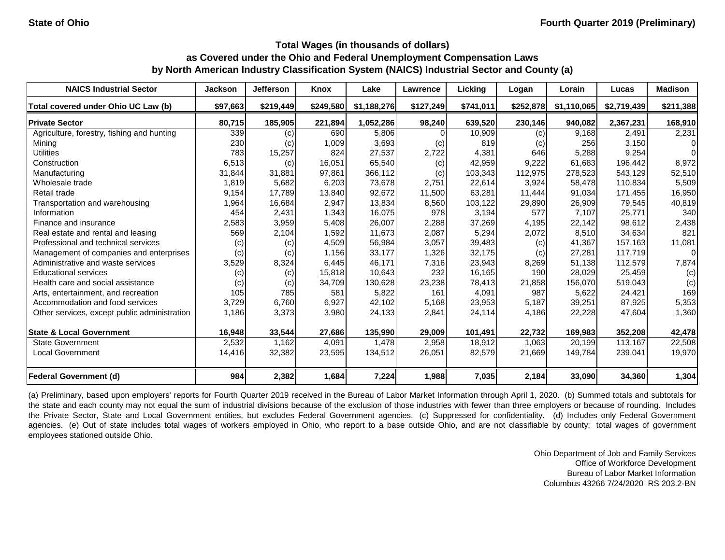| <b>NAICS Industrial Sector</b>               | <b>Jackson</b> | <b>Jefferson</b> | Knox      | Lake        | Lawrence  | Licking   | Logan     | Lorain      | Lucas       | <b>Madison</b> |
|----------------------------------------------|----------------|------------------|-----------|-------------|-----------|-----------|-----------|-------------|-------------|----------------|
| Total covered under Ohio UC Law (b)          | \$97,663       | \$219,449        | \$249,580 | \$1,188,276 | \$127,249 | \$741,011 | \$252,878 | \$1,110,065 | \$2,719,439 | \$211,388      |
| <b>Private Sector</b>                        | 80,715         | 185,905          | 221,894   | 1,052,286   | 98,240    | 639,520   | 230,146   | 940,082     | 2,367,231   | 168,910        |
| Agriculture, forestry, fishing and hunting   | 339            | (c)              | 690       | 5,806       |           | 10,909    | (c)       | 9,168       | 2,491       | 2,231          |
| Mining                                       | 230            | (c)              | 1,009     | 3,693       | (c)       | 819       | (c)       | 256         | 3,150       | 0              |
| <b>Utilities</b>                             | 783            | 15,257           | 824       | 27,537      | 2,722     | 4,381     | 646       | 5,288       | 9,254       | $\Omega$       |
| Construction                                 | 6,513          | (c)              | 16,051    | 65,540      | (c)       | 42,959    | 9,222     | 61,683      | 196,442     | 8,972          |
| Manufacturing                                | 31,844         | 31,881           | 97,861    | 366,112     | (c)       | 103,343   | 112,975   | 278,523     | 543,129     | 52,510         |
| Wholesale trade                              | 1,819          | 5,682            | 6,203     | 73,678      | 2,751     | 22,614    | 3,924     | 58,478      | 110,834     | 5,509          |
| Retail trade                                 | 9,154          | 17,789           | 13,840    | 92,672      | 11,500    | 63,281    | 11,444    | 91,034      | 171,455     | 16,950         |
| Transportation and warehousing               | 1,964          | 16,684           | 2,947     | 13,834      | 8,560     | 103,122   | 29,890    | 26,909      | 79,545      | 40,819         |
| Information                                  | 454            | 2,431            | 1,343     | 16,075      | 978       | 3,194     | 577       | 7,107       | 25,771      | 340            |
| Finance and insurance                        | 2,583          | 3,959            | 5,408     | 26,007      | 2,288     | 37,269    | 4,195     | 22,142      | 98,612      | 2,438          |
| Real estate and rental and leasing           | 569            | 2,104            | 1,592     | 11,673      | 2,087     | 5,294     | 2,072     | 8,510       | 34,634      | 821            |
| Professional and technical services          | (c)            | (c)              | 4,509     | 56,984      | 3,057     | 39,483    | (c)       | 41,367      | 157,163     | 11,081         |
| Management of companies and enterprises      | (c)            | (c)              | 1,156     | 33,177      | 1,326     | 32,175    | (c)       | 27,281      | 117,719     | $\overline{0}$ |
| Administrative and waste services            | 3,529          | 8,324            | 6,445     | 46,171      | 7,316     | 23,943    | 8,269     | 51,138      | 112,579     | 7,874          |
| <b>Educational services</b>                  | (c)            | (c)              | 15,818    | 10,643      | 232       | 16,165    | 190       | 28,029      | 25,459      | (c)            |
| Health care and social assistance            | (c)            | (c)              | 34,709    | 130,628     | 23,238    | 78,413    | 21,858    | 156,070     | 519,043     | (c)            |
| Arts, entertainment, and recreation          | 105            | 785              | 581       | 5,822       | 161       | 4,091     | 987       | 5,622       | 24,421      | 169            |
| Accommodation and food services              | 3,729          | 6,760            | 6,927     | 42,102      | 5,168     | 23,953    | 5,187     | 39,251      | 87,925      | 5,353          |
| Other services, except public administration | 1,186          | 3,373            | 3,980     | 24,133      | 2,841     | 24,114    | 4,186     | 22,228      | 47,604      | 1,360          |
| <b>State &amp; Local Government</b>          | 16,948         | 33,544           | 27,686    | 135,990     | 29,009    | 101,491   | 22,732    | 169,983     | 352,208     | 42,478         |
| <b>State Government</b>                      | 2,532          | 1,162            | 4,091     | 1,478       | 2,958     | 18,912    | 1,063     | 20,199      | 113,167     | 22,508         |
| <b>Local Government</b>                      | 14,416         | 32,382           | 23,595    | 134,512     | 26,051    | 82,579    | 21,669    | 149,784     | 239,041     | 19,970         |
| <b>Federal Government (d)</b>                | 984            | 2,382            | 1,684     | 7,224       | 1,988     | 7,035     | 2,184     | 33,090      | 34,360      | 1,304          |

(a) Preliminary, based upon employers' reports for Fourth Quarter 2019 received in the Bureau of Labor Market Information through April 1, 2020. (b) Summed totals and subtotals for the state and each county may not equal the sum of industrial divisions because of the exclusion of those industries with fewer than three employers or because of rounding. Includes the Private Sector, State and Local Government entities, but excludes Federal Government agencies. (c) Suppressed for confidentiality. (d) Includes only Federal Government agencies. (e) Out of state includes total wages of workers employed in Ohio, who report to a base outside Ohio, and are not classifiable by county; total wages of government employees stationed outside Ohio.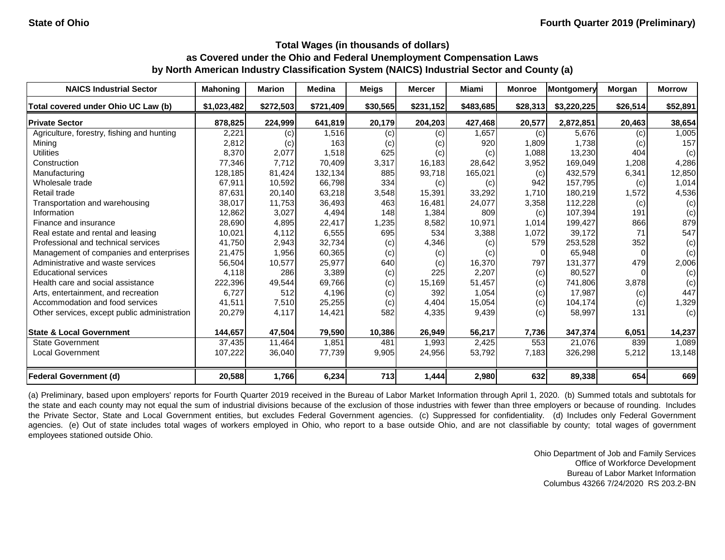| <b>NAICS Industrial Sector</b>               | <b>Mahoning</b> | <b>Marion</b> | <b>Medina</b> | <b>Meigs</b> | <b>Mercer</b> | Miami     | <b>Monroe</b> | Montgomery  | Morgan   | <b>Morrow</b> |
|----------------------------------------------|-----------------|---------------|---------------|--------------|---------------|-----------|---------------|-------------|----------|---------------|
| Total covered under Ohio UC Law (b)          | \$1,023,482     | \$272,503     | \$721,409     | \$30,565     | \$231,152     | \$483,685 | \$28,313      | \$3,220,225 | \$26,514 | \$52,891      |
| <b>Private Sector</b>                        | 878,825         | 224,999       | 641,819       | 20,179       | 204,203       | 427,468   | 20,577        | 2,872,851   | 20,463   | 38,654        |
| Agriculture, forestry, fishing and hunting   | 2,221           | (c)           | 1,516         | (c)          | (c)           | 1,657     | (c)           | 5,676       | (c)      | 1,005         |
| Mining                                       | 2,812           | (c)           | 163           | (c)          | (c)           | 920       | 1,809         | 1,738       | (c)      | 157           |
| <b>Utilities</b>                             | 8,370           | 2,077         | 1,518         | 625          | (c)           | (c)       | 1,088         | 13,230      | 404      | (c)           |
| Construction                                 | 77,346          | 7,712         | 70,409        | 3,317        | 16,183        | 28,642    | 3,952         | 169,049     | 1,208    | 4,286         |
| Manufacturing                                | 128,185         | 81,424        | 132,134       | 885          | 93,718        | 165,021   | (c)           | 432,579     | 6,341    | 12,850        |
| Wholesale trade                              | 67,911          | 10,592        | 66,798        | 334          | (c)           | (c)       | 942           | 157,795     | (c)      | 1,014         |
| Retail trade                                 | 87,631          | 20,140        | 63,218        | 3,548        | 15,391        | 33,292    | 1,710         | 180,219     | 1,572    | 4,536         |
| Transportation and warehousing               | 38,017          | 11,753        | 36,493        | 463          | 16,481        | 24,077    | 3,358         | 112,228     | (c)      | (c)           |
| Information                                  | 12,862          | 3,027         | 4,494         | 148          | 1,384         | 809       | (c)           | 107,394     | 191      | (c)           |
| Finance and insurance                        | 28,690          | 4,895         | 22,417        | 1,235        | 8,582         | 10,971    | 1,014         | 199,427     | 866      | 879           |
| Real estate and rental and leasing           | 10,021          | 4,112         | 6,555         | 695          | 534           | 3,388     | 1,072         | 39,172      | 71       | 547           |
| Professional and technical services          | 41,750          | 2,943         | 32,734        | (c)          | 4,346         | (c)       | 579           | 253,528     | 352      | (c)           |
| Management of companies and enterprises      | 21,475          | 1,956         | 60,365        | (c)          | (c)           | (c)       |               | 65,948      |          | (c)           |
| Administrative and waste services            | 56,504          | 10,577        | 25,977        | 640          | (c)           | 16,370    | 797           | 131,377     | 479      | 2,006         |
| <b>Educational services</b>                  | 4,118           | 286           | 3,389         | (c)          | 225           | 2,207     | (c)           | 80,527      |          | (c)           |
| Health care and social assistance            | 222,396         | 49,544        | 69,766        | (c)          | 15,169        | 51,457    | (c)           | 741,806     | 3,878    | (c)           |
| Arts, entertainment, and recreation          | 6,727           | 512           | 4,196         | (c)          | 392           | 1,054     | (c)           | 17,987      | (c)      | 447           |
| Accommodation and food services              | 41,511          | 7,510         | 25,255        | (c)          | 4,404         | 15,054    | (c)           | 104,174     | (c)      | 1,329         |
| Other services, except public administration | 20,279          | 4,117         | 14,421        | 582          | 4,335         | 9,439     | (c)           | 58,997      | 131      | (c)           |
| <b>State &amp; Local Government</b>          | 144,657         | 47,504        | 79,590        | 10,386       | 26,949        | 56,217    | 7,736         | 347,374     | 6,051    | 14,237        |
| <b>State Government</b>                      | 37,435          | 11,464        | 1,851         | 481          | 1,993         | 2,425     | 553           | 21,076      | 839      | 1,089         |
| <b>Local Government</b>                      | 107,222         | 36,040        | 77,739        | 9,905        | 24,956        | 53,792    | 7,183         | 326,298     | 5,212    | 13,148        |
| <b>Federal Government (d)</b>                | 20,588          | 1,766         | 6,234         | 713          | 1,444         | 2,980     | 632           | 89,338      | 654      | 669           |

(a) Preliminary, based upon employers' reports for Fourth Quarter 2019 received in the Bureau of Labor Market Information through April 1, 2020. (b) Summed totals and subtotals for the state and each county may not equal the sum of industrial divisions because of the exclusion of those industries with fewer than three employers or because of rounding. Includes the Private Sector, State and Local Government entities, but excludes Federal Government agencies. (c) Suppressed for confidentiality. (d) Includes only Federal Government agencies. (e) Out of state includes total wages of workers employed in Ohio, who report to a base outside Ohio, and are not classifiable by county; total wages of government employees stationed outside Ohio.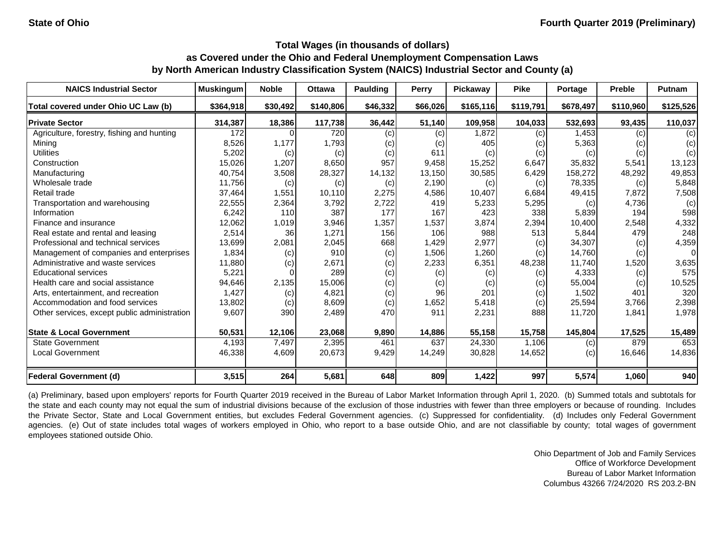| <b>NAICS Industrial Sector</b>               | <b>Muskingum</b> | <b>Noble</b> | <b>Ottawa</b> | <b>Paulding</b> | Perry    | Pickaway   | <b>Pike</b> | Portage   | <b>Preble</b> | <b>Putnam</b> |
|----------------------------------------------|------------------|--------------|---------------|-----------------|----------|------------|-------------|-----------|---------------|---------------|
| Total covered under Ohio UC Law (b)          | \$364,918        | \$30,492     | \$140,806     | \$46,332        | \$66,026 | \$165, 116 | \$119,791   | \$678,497 | \$110,960     | \$125,526     |
| <b>Private Sector</b>                        | 314,387          | 18,386       | 117,738       | 36,442          | 51,140   | 109,958    | 104,033     | 532,693   | 93,435        | 110,037       |
| Agriculture, forestry, fishing and hunting   | 172              |              | 720           | (c)             | (c)      | 1,872      | (c)         | 1,453     | (c)           | (c)           |
| Mining                                       | 8,526            | 1,177        | 1,793         | (c)             | (c)      | 405        | (c)         | 5,363     | (c)           | (c)           |
| <b>Utilities</b>                             | 5,202            | (c)          | (c)           | (c)             | 611      | (c)        | (c)         | (c)       | (c)           | (c)           |
| Construction                                 | 15,026           | 1,207        | 8,650         | 957             | 9,458    | 15,252     | 6,647       | 35,832    | 5,541         | 13,123        |
| Manufacturing                                | 40,754           | 3,508        | 28,327        | 14,132          | 13,150   | 30,585     | 6,429       | 158,272   | 48,292        | 49,853        |
| Wholesale trade                              | 11,756           | (c)          | (c)           | (c)             | 2,190    | (c)        | (c)         | 78,335    | (c)           | 5,848         |
| Retail trade                                 | 37,464           | 1,551        | 10,110        | 2,275           | 4,586    | 10,407     | 6,684       | 49,415    | 7,872         | 7,508         |
| Transportation and warehousing               | 22,555           | 2,364        | 3,792         | 2,722           | 419      | 5,233      | 5,295       | (c)       | 4,736         | (c)           |
| Information                                  | 6,242            | 110          | 387           | 177             | 167      | 423        | 338         | 5,839     | 194           | 598           |
| Finance and insurance                        | 12,062           | 1,019        | 3,946         | 1,357           | 1,537    | 3,874      | 2,394       | 10,400    | 2,548         | 4,332         |
| Real estate and rental and leasing           | 2,514            | 36           | 1,271         | 156             | 106      | 988        | 513         | 5,844     | 479           | 248           |
| Professional and technical services          | 13,699           | 2,081        | 2,045         | 668             | 1,429    | 2,977      | (c)         | 34,307    | (c)           | 4,359         |
| Management of companies and enterprises      | 1,834            | (c)          | 910           | (c)             | 1,506    | 1,260      | (c)         | 14,760    | (c)           | $\Omega$      |
| Administrative and waste services            | 11,880           | (c)          | 2,671         | (c)             | 2,233    | 6,351      | 48,238      | 11,740    | 1,520         | 3,635         |
| <b>Educational services</b>                  | 5,221            |              | 289           | (c)             | (c)      | (c)        | (c)         | 4,333     | (c)           | 575           |
| Health care and social assistance            | 94,646           | 2,135        | 15,006        | (c)             | (c)      | (c)        | (c)         | 55,004    | (c)           | 10,525        |
| Arts, entertainment, and recreation          | 1,427            | (c)          | 4,821         | (c)             | 96       | 201        | (c)         | 1,502     | 401           | 320           |
| Accommodation and food services              | 13,802           | (c)          | 8,609         | (c)             | 1,652    | 5,418      | (c)         | 25,594    | 3,766         | 2,398         |
| Other services, except public administration | 9,607            | 390          | 2,489         | 470             | 911      | 2,231      | 888         | 11,720    | 1,841         | 1,978         |
| <b>State &amp; Local Government</b>          | 50,531           | 12,106       | 23,068        | 9,890           | 14,886   | 55,158     | 15,758      | 145,804   | 17,525        | 15,489        |
| <b>State Government</b>                      | 4,193            | 7,497        | 2,395         | 461             | 637      | 24,330     | 1,106       | (c)       | 879           | 653           |
| <b>Local Government</b>                      | 46,338           | 4,609        | 20,673        | 9,429           | 14,249   | 30,828     | 14,652      | (c)       | 16,646        | 14,836        |
| <b>Federal Government (d)</b>                | 3,515            | 264          | 5,681         | 648             | 809      | 1,422      | 997         | 5,574     | 1,060         | 940           |

(a) Preliminary, based upon employers' reports for Fourth Quarter 2019 received in the Bureau of Labor Market Information through April 1, 2020. (b) Summed totals and subtotals for the state and each county may not equal the sum of industrial divisions because of the exclusion of those industries with fewer than three employers or because of rounding. Includes the Private Sector, State and Local Government entities, but excludes Federal Government agencies. (c) Suppressed for confidentiality. (d) Includes only Federal Government agencies. (e) Out of state includes total wages of workers employed in Ohio, who report to a base outside Ohio, and are not classifiable by county; total wages of government employees stationed outside Ohio.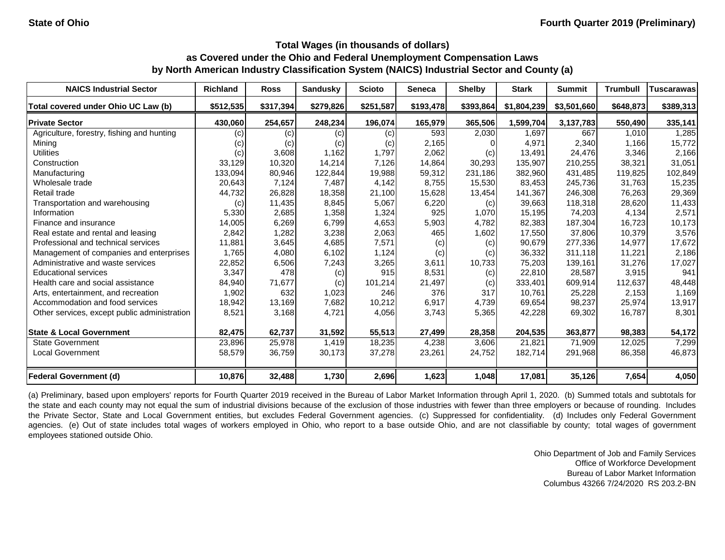| <b>NAICS Industrial Sector</b>               | <b>Richland</b> | <b>Ross</b> | <b>Sandusky</b> | <b>Scioto</b> | <b>Seneca</b> | <b>Shelby</b> | <b>Stark</b> | <b>Summit</b> | <b>Trumbull</b> | <b>Tuscarawas</b> |
|----------------------------------------------|-----------------|-------------|-----------------|---------------|---------------|---------------|--------------|---------------|-----------------|-------------------|
| Total covered under Ohio UC Law (b)          | \$512,535       | \$317,394   | \$279,826       | \$251,587     | \$193,478     | \$393,864     | \$1,804,239  | \$3,501,660   | \$648,873       | \$389,313         |
| <b>Private Sector</b>                        | 430,060         | 254,657     | 248,234         | 196,074       | 165,979       | 365,506       | 1,599,704    | 3, 137, 783   | 550,490         | 335,141           |
| Agriculture, forestry, fishing and hunting   | (c)             | (c)         | (c)             | (c)           | 593           | 2,030         | 1,697        | 667           | 1,010           | 1,285             |
| Mining                                       | (c)             | (c)         | (c)             | (c)           | 2,165         |               | 4,971        | 2,340         | 1,166           | 15,772            |
| <b>Utilities</b>                             | (c)             | 3,608       | 1,162           | 1,797         | 2,062         | (c)           | 13,491       | 24,476        | 3,346           | 2,166             |
| Construction                                 | 33,129          | 10,320      | 14,214          | 7,126         | 14,864        | 30,293        | 135,907      | 210,255       | 38,321          | 31,051            |
| Manufacturing                                | 133,094         | 80,946      | 122,844         | 19,988        | 59,312        | 231,186       | 382,960      | 431,485       | 119,825         | 102,849           |
| Wholesale trade                              | 20,643          | 7,124       | 7,487           | 4,142         | 8,755         | 15,530        | 83,453       | 245,736       | 31,763          | 15,235            |
| Retail trade                                 | 44,732          | 26,828      | 18,358          | 21,100        | 15,628        | 13,454        | 141,367      | 246,308       | 76,263          | 29,369            |
| Transportation and warehousing               | (c)             | 11,435      | 8,845           | 5,067         | 6,220         | (c)           | 39,663       | 118,318       | 28,620          | 11,433            |
| Information                                  | 5,330           | 2,685       | 1,358           | 1,324         | 925           | 1,070         | 15,195       | 74,203        | 4,134           | 2,571             |
| Finance and insurance                        | 14,005          | 6,269       | 6,799           | 4,653         | 5,903         | 4,782         | 82,383       | 187,304       | 16,723          | 10,173            |
| Real estate and rental and leasing           | 2,842           | 1,282       | 3,238           | 2,063         | 465           | 1,602         | 17,550       | 37,806        | 10,379          | 3,576             |
| Professional and technical services          | 11,881          | 3,645       | 4,685           | 7,571         | (c)           | (c)           | 90,679       | 277,336       | 14,977          | 17,672            |
| Management of companies and enterprises      | 1,765           | 4,080       | 6,102           | 1,124         | (c)           | (c)           | 36,332       | 311,118       | 11,221          | 2,186             |
| Administrative and waste services            | 22,852          | 6,506       | 7,243           | 3,265         | 3,611         | 10,733        | 75,203       | 139,161       | 31,276          | 17,027            |
| <b>Educational services</b>                  | 3,347           | 478         | (c)             | 915           | 8,531         | (c)           | 22,810       | 28,587        | 3,915           | 941               |
| Health care and social assistance            | 84,940          | 71,677      | (c)             | 101,214       | 21,497        | (c)           | 333,401      | 609,914       | 112,637         | 48,448            |
| Arts, entertainment, and recreation          | 1,902           | 632         | 1,023           | 246           | 376           | 317           | 10,761       | 25,228        | 2,153           | 1,169             |
| Accommodation and food services              | 18,942          | 13,169      | 7,682           | 10,212        | 6,917         | 4,739         | 69,654       | 98,237        | 25,974          | 13,917            |
| Other services, except public administration | 8,521           | 3,168       | 4,721           | 4,056         | 3,743         | 5,365         | 42,228       | 69,302        | 16,787          | 8,301             |
| <b>State &amp; Local Government</b>          | 82,475          | 62,737      | 31,592          | 55,513        | 27,499        | 28,358        | 204,535      | 363,877       | 98,383          | 54,172            |
| <b>State Government</b>                      | 23,896          | 25,978      | 1,419           | 18,235        | 4,238         | 3,606         | 21,821       | 71,909        | 12,025          | 7,299             |
| <b>Local Government</b>                      | 58,579          | 36,759      | 30,173          | 37,278        | 23,261        | 24,752        | 182,714      | 291,968       | 86,358          | 46,873            |
| <b>Federal Government (d)</b>                | 10,876          | 32,488      | 1,730           | 2,696         | 1,623         | 1,048         | 17,081       | 35,126        | 7,654           | 4,050             |

(a) Preliminary, based upon employers' reports for Fourth Quarter 2019 received in the Bureau of Labor Market Information through April 1, 2020. (b) Summed totals and subtotals for the state and each county may not equal the sum of industrial divisions because of the exclusion of those industries with fewer than three employers or because of rounding. Includes the Private Sector, State and Local Government entities, but excludes Federal Government agencies. (c) Suppressed for confidentiality. (d) Includes only Federal Government agencies. (e) Out of state includes total wages of workers employed in Ohio, who report to a base outside Ohio, and are not classifiable by county; total wages of government employees stationed outside Ohio.